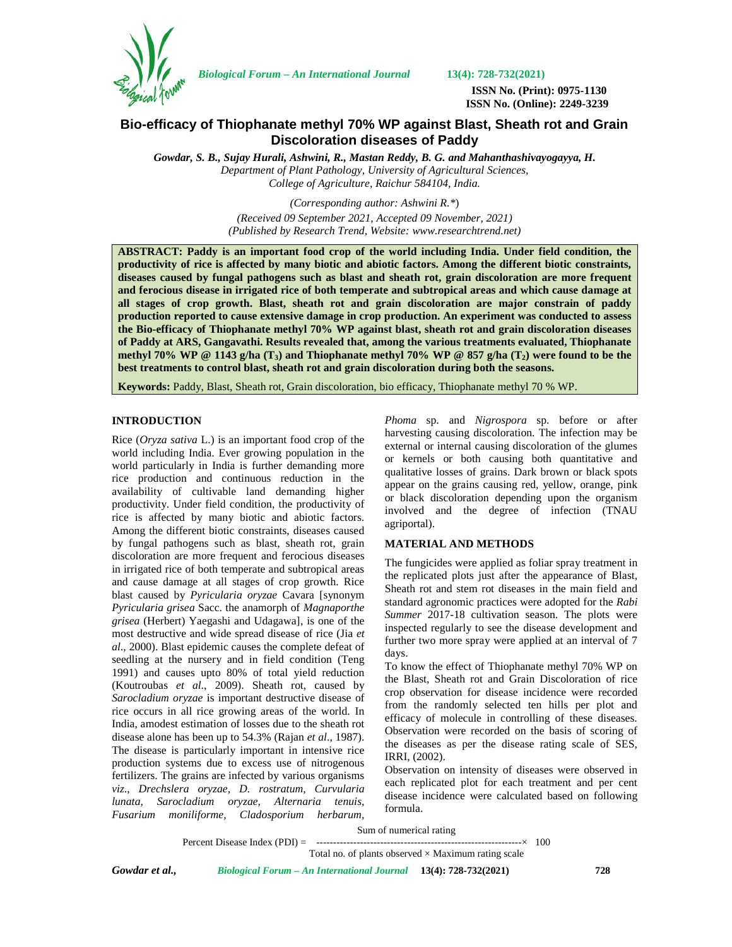

*Biological Forum – An International Journal* **13(4): 728-732(2021)**

**ISSN No. (Print): 0975-1130 ISSN No. (Online): 2249-3239**

# **Bio-efficacy of Thiophanate methyl 70% WP against Blast, Sheath rot and Grain Discoloration diseases of Paddy**

*Gowdar, S. B., Sujay Hurali, Ashwini, R., Mastan Reddy, B. G. and Mahanthashivayogayya, H. Department of Plant Pathology, University of Agricultural Sciences, College of Agriculture, Raichur 584104, India.*

> *(Corresponding author: Ashwini R.\**) *(Received 09 September 2021, Accepted 09 November, 2021) (Published by Research Trend, Website: [www.researchtrend.net\)](www.researchtrend.net)*

**ABSTRACT: Paddy is an important food crop of the world including India. Under field condition, the productivity of rice is affected by many biotic and abiotic factors. Among the different biotic constraints, diseases caused by fungal pathogens such as blast and sheath rot, grain discoloration are more frequent and ferocious disease in irrigated rice of both temperate and subtropical areas and which cause damage at all stages of crop growth. Blast, sheath rot and grain discoloration are major constrain of paddy production reported to cause extensive damage in crop production. An experiment was conducted to assess the Bio-efficacy of Thiophanate methyl 70% WP against blast, sheath rot and grain discoloration diseases of Paddy at ARS, Gangavathi. Results revealed that, among the various treatments evaluated, Thiophanate methyl 70% WP @ 1143 g/ha (T3) and Thiophanate methyl 70% WP @ 857 g/ha (T2) were found to be the best treatments to control blast, sheath rot and grain discoloration during both the seasons.**

**Keywords:** Paddy, Blast, Sheath rot, Grain discoloration, bio efficacy, Thiophanate methyl 70 % WP.

## **INTRODUCTION**

Rice (*Oryza sativa* L.) is an important food crop of the world including India. Ever growing population in the world particularly in India is further demanding more rice production and continuous reduction in the availability of cultivable land demanding higher productivity. Under field condition, the productivity of rice is affected by many biotic and abiotic factors. Among the different biotic constraints, diseases caused by fungal pathogens such as blast, sheath rot, grain discoloration are more frequent and ferocious diseases in irrigated rice of both temperate and subtropical areas and cause damage at all stages of crop growth. Rice blast caused by *Pyricularia oryzae* Cavara [synonym *Pyricularia grisea* Sacc. the anamorph of *Magnaporthe grisea* (Herbert) Yaegashi and Udagawa], is one of the most destructive and wide spread disease of rice (Jia *et al*., 2000). Blast epidemic causes the complete defeat of seedling at the nursery and in field condition (Teng 1991) and causes upto 80% of total yield reduction (Koutroubas *et al*., 2009). Sheath rot, caused by *Sarocladium oryzae* is important destructive disease of rice occurs in all rice growing areas of the world. In India, amodest estimation of losses due to the sheath rot disease alone has been up to 54.3% (Rajan *et al*., 1987). The disease is particularly important in intensive rice production systems due to excess use of nitrogenous fertilizers. The grains are infected by various organisms *viz*., *Drechslera oryzae, D. rostratum, Curvularia lunata, Sarocladium oryzae, Alternaria tenuis, Fusarium moniliforme, Cladosporium herbarum,*

*Phoma* sp. and *Nigrospora* sp. before or after harvesting causing discoloration. The infection may be external or internal causing discoloration of the glumes or kernels or both causing both quantitative and qualitative losses of grains. Dark brown or black spots appear on the grains causing red, yellow, orange, pink or black discoloration depending upon the organism involved and the degree of infection (TNAU agriportal).

#### **MATERIAL AND METHODS**

The fungicides were applied as foliar spray treatment in the replicated plots just after the appearance of Blast, Sheath rot and stem rot diseases in the main field and standard agronomic practices were adopted for the *Rabi Summer* 2017-18 cultivation season. The plots were inspected regularly to see the disease development and further two more spray were applied at an interval of 7 days.

To know the effect of Thiophanate methyl 70% WP on the Blast, Sheath rot and Grain Discoloration of rice crop observation for disease incidence were recorded from the randomly selected ten hills per plot and efficacy of molecule in controlling of these diseases. Observation were recorded on the basis of scoring of the diseases as per the disease rating scale of SES, IRRI, (2002).

Observation on intensity of diseases were observed in each replicated plot for each treatment and per cent disease incidence were calculated based on following formula.

Sum of numerical rating

Percent Disease Index (PDI) = -------------------------------------------------------------× 100

Total no. of plants observed  $\times$  Maximum rating scale

*Gowdar et al., Biological Forum – An International Journal* **13(4): 728-732(2021) 728**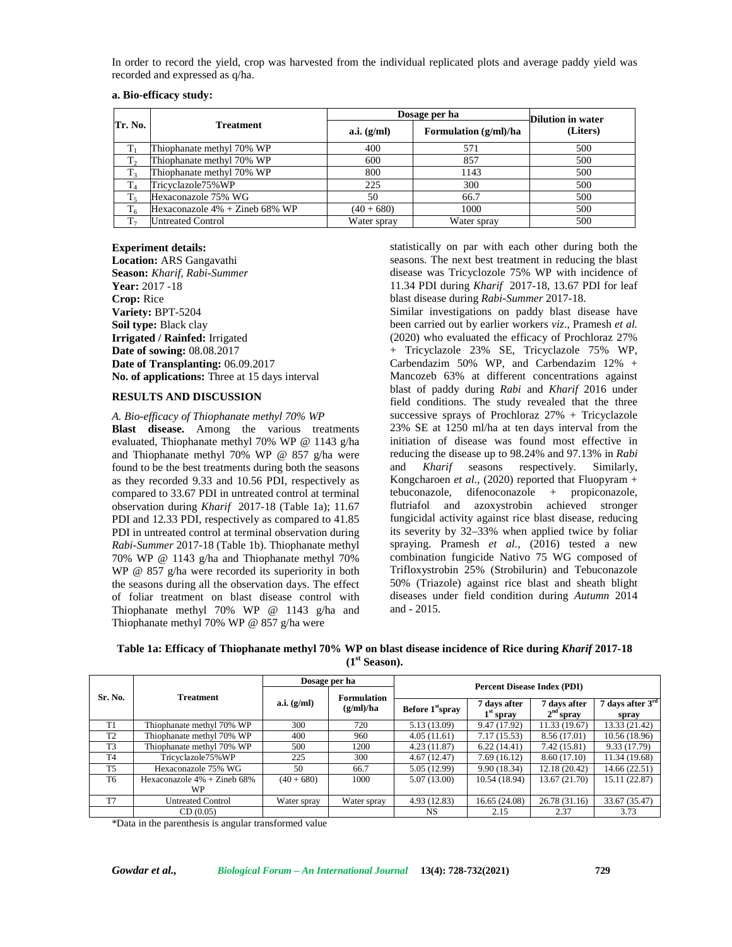In order to record the yield, crop was harvested from the individual replicated plots and average paddy yield was recorded and expressed as q/ha.

|                | <b>Treatment</b>                  |               | Dosage per ha         |                               |  |  |
|----------------|-----------------------------------|---------------|-----------------------|-------------------------------|--|--|
| Tr. No.        |                                   | a.i. $(g/ml)$ | Formulation (g/ml)/ha | Dilution in water<br>(Liters) |  |  |
| T              | Thiophanate methyl 70% WP         | 400           | 571                   | 500                           |  |  |
| $T_{2}$        | Thiophanate methyl 70% WP         | 600           | 857                   | 500                           |  |  |
| T <sub>3</sub> | Thiophanate methyl 70% WP         | 800           | 1143                  | 500                           |  |  |
| $T_4$          | Tricyclazole75%WP                 | 225           | 300                   | 500                           |  |  |
| $T_5$          | Hexaconazole 75% WG               | 50            | 66.7                  | 500                           |  |  |
| $T_6$          | Hexaconazole $4\%$ + Zineb 68% WP | $(40+680)$    | 1000                  | 500                           |  |  |
| T <sub>7</sub> | <b>Untreated Control</b>          | Water spray   | Water spray           | 500                           |  |  |

#### **Experiment details:**

**Location:** ARS Gangavathi **Season:** *Kharif, Rabi-Summer* **Year:** 2017 -18 **Crop:** Rice **Variety:** BPT-5204 **Soil type:** Black clay **Irrigated / Rainfed:** Irrigated **Date of sowing:** 08.08.2017 **Date of Transplanting:** 06.09.2017 **No. of applications:** Three at 15 days interval

#### **RESULTS AND DISCUSSION**

*A. Bio-efficacy of Thiophanate methyl 70% WP* **Blast disease.** Among the various treatments evaluated, Thiophanate methyl 70% WP @ 1143 g/ha and Thiophanate methyl 70% WP @ 857 g/ha were found to be the best treatments during both the seasons as they recorded 9.33 and 10.56 PDI, respectively as compared to 33.67 PDI in untreated control at terminal observation during *Kharif* 2017-18 (Table 1a); 11.67 PDI and 12.33 PDI, respectively as compared to 41.85 PDI in untreated control at terminal observation during *Rabi-Summer* 2017-18 (Table 1b). Thiophanate methyl 70% WP @ 1143 g/ha and Thiophanate methyl 70% WP @ 857 g/ha were recorded its superiority in both the seasons during all the observation days. The effect of foliar treatment on blast disease control with Thiophanate methyl 70% WP @ 1143 g/ha and Thiophanate methyl 70% WP @ 857 g/ha were

statistically on par with each other during both the seasons. The next best treatment in reducing the blast disease was Tricyclozole 75% WP with incidence of 11.34 PDI during *Kharif* 2017-18, 13.67 PDI for leaf blast disease during *Rabi-Summer* 2017-18.

Similar investigations on paddy blast disease have been carried out by earlier workers *viz*., Pramesh *et al.* (2020) who evaluated the efficacy of Prochloraz 27% + Tricyclazole 23% SE, Tricyclazole 75% WP, Carbendazim 50% WP, and Carbendazim 12% + Mancozeb 63% at different concentrations against blast of paddy during *Rabi* and *Kharif* 2016 under field conditions. The study revealed that the three successive sprays of Prochloraz 27% + Tricyclazole 23% SE at 1250 ml/ha at ten days interval from the initiation of disease was found most effective in reducing the disease up to 98.24% and 97.13% in *Rabi* and *Kharif* seasons respectively. Similarly, Kongcharoen *et al*., (2020) reported that Fluopyram + tebuconazole, difenoconazole + propiconazole, flutriafol and azoxystrobin achieved stronger fungicidal activity against rice blast disease, reducing its severity by 32–33% when applied twice by foliar spraying. Pramesh *et al.,* (2016) tested a new combination fungicide Nativo 75 WG composed of Trifloxystrobin 25% (Strobilurin) and Tebuconazole 50% (Triazole) against rice blast and sheath blight diseases under field condition during *Autumn* 2014 and - 2015.

**Table 1a: Efficacy of Thiophanate methyl 70% WP on blast disease incidence of Rice during** *Kharif* **2017-18 (1st Season).**

|                |                                             | Dosage per ha                                  |             |                                    |                             |                             |                             |  |  |
|----------------|---------------------------------------------|------------------------------------------------|-------------|------------------------------------|-----------------------------|-----------------------------|-----------------------------|--|--|
| Sr. No.        | <b>Treatment</b>                            | <b>Formulation</b><br>a.i. (g/ml)<br>(g/ml)/ha |             | <b>Percent Disease Index (PDI)</b> |                             |                             |                             |  |  |
|                |                                             |                                                |             | Before 1st <sub>spray</sub>        | 7 days after<br>$1st$ spray | 7 days after<br>$2nd$ sprav | 7 days after $3rd$<br>spray |  |  |
| T1             | Thiophanate methyl 70% WP                   | 300                                            | 720         | 5.13 (13.09)                       | 9.47 (17.92)                | 11.33 (19.67)               | 13.33 (21.42)               |  |  |
| T <sub>2</sub> | Thiophanate methyl 70% WP                   | 400                                            | 960         | 4.05(11.61)                        | 7.17(15.53)                 | 8.56 (17.01)                | 10.56(18.96)                |  |  |
| T <sub>3</sub> | Thiophanate methyl 70% WP                   | 500                                            | 1200        | 4.23(11.87)                        | 6.22(14.41)                 | 7.42 (15.81)                | 9.33 (17.79)                |  |  |
| T <sub>4</sub> | Tricyclazole75%WP                           | 225                                            | 300         | 4.67(12.47)                        | 7.69(16.12)                 | 8.60 (17.10)                | 11.34(19.68)                |  |  |
| <b>T5</b>      | Hexaconazole 75% WG                         | 50                                             | 66.7        | 5.05 (12.99)                       | 9.90 (18.34)                | 12.18 (20.42)               | 14.66(22.51)                |  |  |
| T <sub>6</sub> | Hexaconazole $4\%$ + Zineb 68%<br><b>WP</b> | $(40+680)$                                     | 1000        | 5.07(13.00)                        | 10.54 (18.94)               | 13.67 (21.70)               | 15.11 (22.87)               |  |  |
| T <sub>7</sub> | <b>Untreated Control</b>                    | Water spray                                    | Water spray | 4.93(12.83)                        | 16.65(24.08)                | 26.78 (31.16)               | 33.67 (35.47)               |  |  |
|                | CD(0.05)                                    |                                                |             | <b>NS</b>                          | 2.15                        | 2.37                        | 3.73                        |  |  |

\*Data in the parenthesis is angular transformed value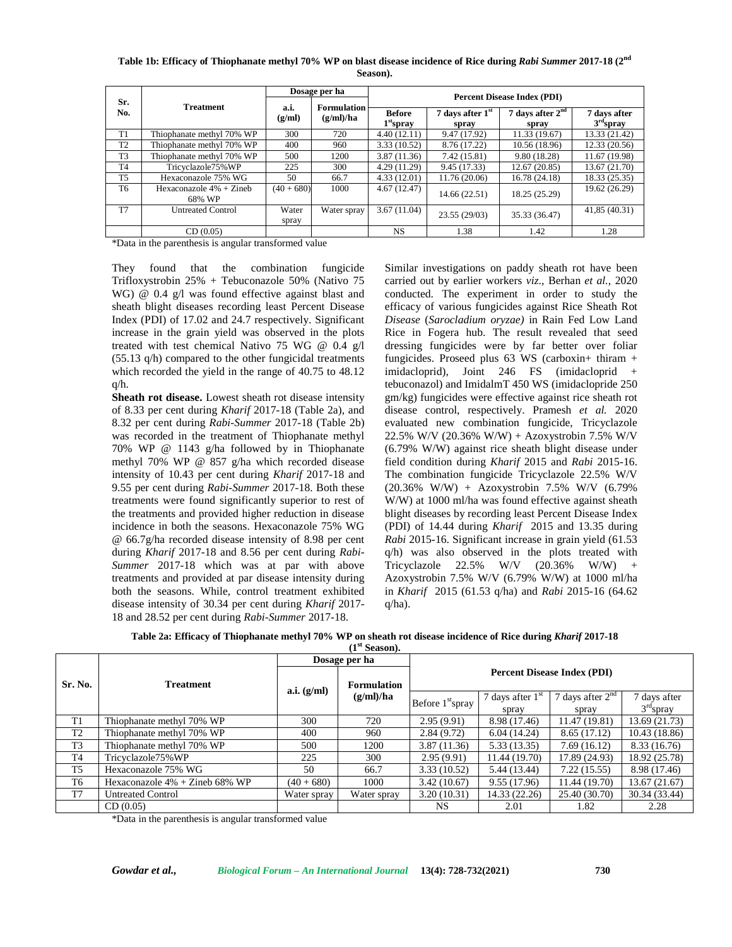**Table 1b: Efficacy of Thiophanate methyl 70% WP on blast disease incidence of Rice during** *Rabi Summer* **2017-18 (2nd Season).**

|                |                                     | Dosage per ha  |                                 | <b>Percent Disease Index (PDI)</b> |                             |                             |                             |  |
|----------------|-------------------------------------|----------------|---------------------------------|------------------------------------|-----------------------------|-----------------------------|-----------------------------|--|
| Sr.<br>No.     | <b>Treatment</b>                    | a.i.<br>(g/ml) | <b>Formulation</b><br>(g/ml)/ha | <b>Before</b><br>$1st$ spray       | 7 days after $1st$<br>spray | 7 days after $2nd$<br>spray | 7 days after<br>$3rd$ spray |  |
| T1             | Thiophanate methyl 70% WP           | 300            | 720                             | 4.40(12.11)                        | 9.47 (17.92)                | 11.33 (19.67)               | 13.33 (21.42)               |  |
| T <sub>2</sub> | Thiophanate methyl 70% WP           | 400            | 960                             | 3.33(10.52)                        | 8.76 (17.22)                | 10.56 (18.96)               | 12.33 (20.56)               |  |
| T <sub>3</sub> | Thiophanate methyl 70% WP           | 500            | 1200                            | 3.87(11.36)                        | 7.42(15.81)                 | 9.80(18.28)                 | 11.67 (19.98)               |  |
| T <sub>4</sub> | Tricyclazole75%WP                   | 225            | 300                             | 4.29(11.29)                        | 9.45 (17.33)                | 12.67 (20.85)               | 13.67 (21.70)               |  |
| T <sub>5</sub> | Hexaconazole 75% WG                 | 50             | 66.7                            | 4.33(12.01)                        | 11.76 (20.06)               | 16.78 (24.18)               | 18.33 (25.35)               |  |
| T <sub>6</sub> | Hexaconazole $4% + Zineb$<br>68% WP | $(40+680)$     | 1000                            | 4.67(12.47)                        | 14.66 (22.51)               | 18.25 (25.29)               | 19.62 (26.29)               |  |
| T <sub>7</sub> | <b>Untreated Control</b>            | Water<br>spray | Water spray                     | 3.67(11.04)                        | 23.55 (29/03)               | 35.33 (36.47)               | 41,85 (40.31)               |  |
|                | CD(0.05)                            |                |                                 | <b>NS</b>                          | 1.38                        | 1.42                        | 1.28                        |  |

\*Data in the parenthesis is angular transformed value

They found that the combination fungicide Trifloxystrobin 25% + Tebuconazole 50% (Nativo 75 WG) @ 0.4 g/l was found effective against blast and sheath blight diseases recording least Percent Disease Index (PDI) of 17.02 and 24.7 respectively. Significant increase in the grain yield was observed in the plots treated with test chemical Nativo 75 WG @ 0.4 g/l (55.13 q/h) compared to the other fungicidal treatments which recorded the yield in the range of 40.75 to 48.12 q/h.

**Sheath rot disease.** Lowest sheath rot disease intensity of 8.33 per cent during *Kharif* 2017-18 (Table 2a), and 8.32 per cent during *Rabi-Summer* 2017-18 (Table 2b) was recorded in the treatment of Thiophanate methyl 70% WP @ 1143 g/ha followed by in Thiophanate methyl 70% WP @ 857 g/ha which recorded disease intensity of 10.43 per cent during *Kharif* 2017-18 and 9.55 per cent during *Rabi-Summer* 2017-18. Both these treatments were found significantly superior to rest of the treatments and provided higher reduction in disease incidence in both the seasons. Hexaconazole 75% WG @ 66.7g/ha recorded disease intensity of 8.98 per cent during *Kharif* 2017-18 and 8.56 per cent during *Rabi- Summer* 2017-18 which was at par with above treatments and provided at par disease intensity during both the seasons. While, control treatment exhibited disease intensity of 30.34 per cent during *Kharif* 2017- 18 and 28.52 per cent during *Rabi-Summer* 2017-18.

Similar investigations on paddy sheath rot have been carried out by earlier workers *viz*., Berhan *et al.,* 2020 conducted. The experiment in order to study the efficacy of various fungicides against Rice Sheath Rot *Disease* (*Sarocladium oryzae)* in Rain Fed Low Land Rice in Fogera hub. The result revealed that seed dressing fungicides were by far better over foliar fungicides. Proseed plus  $63$  WS (carboxin+ thiram + imidacloprid), Joint 246 FS (imidacloprid + tebuconazol) and ImidalmT 450 WS (imidaclopride 250 gm/kg) fungicides were effective against rice sheath rot disease control, respectively. Pramesh *et al.* 2020 evaluated new combination fungicide, Tricyclazole 22.5% W/V (20.36% W/W) + Azoxystrobin 7.5% W/V (6.79% W/W) against rice sheath blight disease under field condition during *Kharif* 2015 and *Rabi* 2015-16. The combination fungicide Tricyclazole 22.5% W/V (20.36% W/W) + Azoxystrobin 7.5% W/V (6.79% W/W) at 1000 ml/ha was found effective against sheath blight diseases by recording least Percent Disease Index (PDI) of 14.44 during *Kharif* 2015 and 13.35 during *Rabi* 2015-16. Significant increase in grain yield (61.53 q/h) was also observed in the plots treated with Tricyclazole 22.5% W/V (20.36% W/W) + Azoxystrobin 7.5% W/V (6.79% W/W) at 1000 ml/ha in *Kharif* 2015 (61.53 q/ha) and *Rabi* 2015-16 (64.62 q/ha).

|                |                                   | Dosage per ha |                          |                                    |                             |                             |                             |  |
|----------------|-----------------------------------|---------------|--------------------------|------------------------------------|-----------------------------|-----------------------------|-----------------------------|--|
| Sr. No.        | <b>Treatment</b>                  | a.i. (g/ml)   | Formulation<br>(g/ml)/ha | <b>Percent Disease Index (PDI)</b> |                             |                             |                             |  |
|                |                                   |               |                          | Before 1 <sup>st</sup> spray       | 7 days after $1st$<br>spray | 7 days after $2nd$<br>spray | 7 days after<br>$3rd$ spray |  |
| T1             | Thiophanate methyl 70% WP         | 300           | 720                      | 2.95(9.91)                         | 8.98 (17.46)                | 11.47 (19.81)               | 13.69 (21.73)               |  |
| T2             | Thiophanate methyl 70% WP         | 400           | 960                      | 2.84(9.72)                         | 6.04(14.24)                 | 8.65 (17.12)                | 10.43(18.86)                |  |
| T <sub>3</sub> | Thiophanate methyl 70% WP         | 500           | 1200                     | 3.87(11.36)                        | 5.33 (13.35)                | 7.69(16.12)                 | 8.33 (16.76)                |  |
| T4             | Tricyclazole75%WP                 | 225           | 300                      | 2.95(9.91)                         | 11.44 (19.70)               | 17.89 (24.93)               | 18.92 (25.78)               |  |
| T <sub>5</sub> | Hexaconazole 75% WG               | 50            | 66.7                     | 3.33(10.52)                        | 5.44 (13.44)                | 7.22(15.55)                 | 8.98 (17.46)                |  |
| T <sub>6</sub> | Hexaconazole $4\%$ + Zineb 68% WP | $(40+680)$    | 1000                     | 3.42(10.67)                        | 9.55 (17.96)                | 11.44 (19.70)               | 13.67 (21.67)               |  |
| T7             | <b>Untreated Control</b>          | Water spray   | Water spray              | 3.20(10.31)                        | 14.33 (22.26)               | 25.40 (30.70)               | 30.34 (33.44)               |  |
|                | CD(0.05)                          |               |                          | NS.                                | 2.01                        | 1.82                        | 2.28                        |  |

**Table 2a: Efficacy of Thiophanate methyl 70% WP on sheath rot disease incidence of Rice during** *Kharif* **2017-18 (1st Season).**

\*Data in the parenthesis is angular transformed value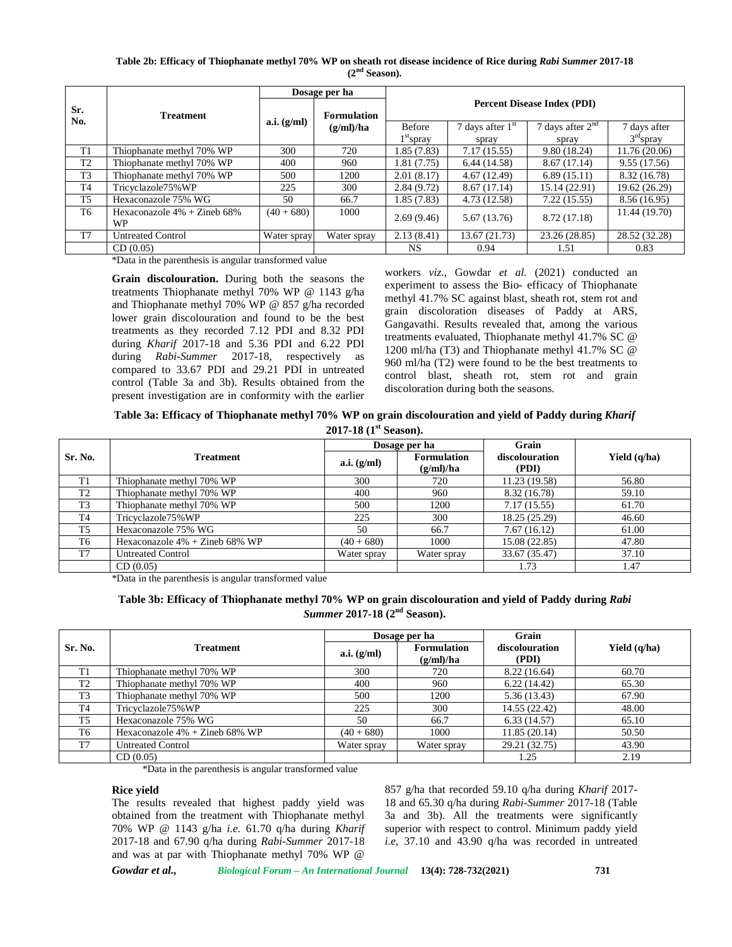**Table 2b: Efficacy of Thiophanate methyl 70% WP on sheath rot disease incidence of Rice during** *Rabi Summer* **2017-18 (2nd Season).**

|                |                                      |                    | Dosage per ha |                                    |                    |                    |               |  |
|----------------|--------------------------------------|--------------------|---------------|------------------------------------|--------------------|--------------------|---------------|--|
| Sr.<br>No.     | <b>Treatment</b>                     | <b>Formulation</b> |               | <b>Percent Disease Index (PDI)</b> |                    |                    |               |  |
|                |                                      | a.i. (g/ml)        | (g/ml)/ha     | <b>Before</b>                      | 7 days after $1st$ | 7 days after $2nd$ | 7 days after  |  |
|                |                                      |                    |               | $1st$ spray                        | spray              | spray              | $3rd$ spray   |  |
| T1             | Thiophanate methyl 70% WP            | 300                | 720           | 1.85(7.83)                         | 7.17(15.55)        | 9.80(18.24)        | 11.76(20.06)  |  |
| T <sub>2</sub> | Thiophanate methyl 70% WP            | 400                | 960           | 1.81 (7.75)                        | 6.44(14.58)        | 8.67(17.14)        | 9.55(17.56)   |  |
| T <sub>3</sub> | Thiophanate methyl 70% WP            | 500                | 1200          | 2.01(8.17)                         | 4.67(12.49)        | 6.89(15.11)        | 8.32 (16.78)  |  |
| T <sub>4</sub> | Tricyclazole75%WP                    | 225                | 300           | 2.84(9.72)                         | 8.67 (17.14)       | 15.14 (22.91)      | 19.62 (26.29) |  |
| T <sub>5</sub> | Hexaconazole 75% WG                  | 50                 | 66.7          | 1.85 (7.83)                        | 4.73 (12.58)       | 7.22(15.55)        | 8.56 (16.95)  |  |
| T <sub>6</sub> | Hexaconazole $4\%$ + Zineb 68%<br>WP | $(40 + 680)$       | 1000          | 2.69(9.46)                         | 5.67 (13.76)       | 8.72 (17.18)       | 11.44 (19.70) |  |
| T <sub>7</sub> | <b>Untreated Control</b>             | Water spray        | Water spray   | 2.13(8.41)                         | 13.67 (21.73)      | 23.26 (28.85)      | 28.52 (32.28) |  |
|                | CD(0.05)                             |                    |               | <b>NS</b>                          | 0.94               | 1.51               | 0.83          |  |

\*Data in the parenthesis is angular transformed value

**Grain discolouration.** During both the seasons the treatments Thiophanate methyl 70% WP @ 1143 g/ha and Thiophanate methyl 70% WP @ 857 g/ha recorded lower grain discolouration and found to be the best treatments as they recorded 7.12 PDI and 8.32 PDI during *Kharif* 2017-18 and 5.36 PDI and 6.22 PDI during *Rabi-Summer* 2017-18, respectively as compared to 33.67 PDI and 29.21 PDI in untreated control (Table 3a and 3b). Results obtained from the present investigation are in conformity with the earlier workers *viz*., Gowdar *et al.* (2021) conducted an experiment to assess the Bio- efficacy of Thiophanate methyl 41.7% SC against blast, sheath rot, stem rot and grain discoloration diseases of Paddy at ARS, Gangavathi. Results revealed that, among the various treatments evaluated, Thiophanate methyl 41.7% SC @ 1200 ml/ha (T3) and Thiophanate methyl 41.7% SC @ 960 ml/ha (T2) were found to be the best treatments to control blast, sheath rot, stem rot and grain discoloration during both the seasons.

**Table 3a: Efficacy of Thiophanate methyl 70% WP on grain discolouration and yield of Paddy during** *Kharif* **2017-18 (1st Season).**

|                |                                   |               | Dosage per ha                   | Grain                   |                |
|----------------|-----------------------------------|---------------|---------------------------------|-------------------------|----------------|
| Sr. No.        | <b>Treatment</b>                  | a.i. $(g/ml)$ | <b>Formulation</b><br>(g/ml)/ha | discolouration<br>(PDI) | Yield $(q/ha)$ |
| T1             | Thiophanate methyl 70% WP         | 300           | 720                             | 11.23 (19.58)           | 56.80          |
| T <sub>2</sub> | Thiophanate methyl 70% WP         | 400           | 960                             | 8.32 (16.78)            | 59.10          |
| T <sub>3</sub> | Thiophanate methyl 70% WP         | 500           | 1200                            | 7.17(15.55)             | 61.70          |
| <b>T4</b>      | Tricyclazole75%WP                 | 225           | 300                             | 18.25 (25.29)           | 46.60          |
| T <sub>5</sub> | Hexaconazole 75% WG               | 50            | 66.7                            | 7.67(16.12)             | 61.00          |
| T6             | Hexaconazole $4\%$ + Zineb 68% WP | $(40+680)$    | 1000                            | 15.08 (22.85)           | 47.80          |
| T <sub>7</sub> | <b>Untreated Control</b>          | Water spray   | Water spray                     | 33.67 (35.47)           | 37.10          |
|                | CD(0.05)                          |               |                                 | 1.73                    | 1.47           |

\*Data in the parenthesis is angular transformed value

# **Table 3b: Efficacy of Thiophanate methyl 70% WP on grain discolouration and yield of Paddy during** *Rabi Summer* **2017-18 (2nd Season).**

|                | <b>Treatment</b>               |               | Dosage per ha                   | Grain                   |                |
|----------------|--------------------------------|---------------|---------------------------------|-------------------------|----------------|
| Sr. No.        |                                | a.i. $(g/ml)$ | <b>Formulation</b><br>(g/ml)/ha | discolouration<br>(PDI) | Yield $(q/ha)$ |
| T1             | Thiophanate methyl 70% WP      | 300           | 720                             | 8.22 (16.64)            | 60.70          |
| T <sub>2</sub> | Thiophanate methyl 70% WP      | 400           | 960                             | 6.22(14.42)             | 65.30          |
| T <sub>3</sub> | Thiophanate methyl 70% WP      | 500           | 1200                            | 5.36(13.43)             | 67.90          |
| T4             | Tricyclazole75%WP              | 225           | 300                             | 14.55 (22.42)           | 48.00          |
| T <sub>5</sub> | Hexaconazole 75% WG            | 50            | 66.7                            | 6.33(14.57)             | 65.10          |
| T6             | Hexaconazole 4% + Zineb 68% WP | $(40 + 680)$  | 1000                            | 11.85(20.14)            | 50.50          |
| T <sub>7</sub> | <b>Untreated Control</b>       | Water spray   | Water spray                     | 29.21 (32.75)           | 43.90          |
|                | CD(0.05)                       |               |                                 | 1.25                    | 2.19           |

\*Data in the parenthesis is angular transformed value

#### **Rice yield**

The results revealed that highest paddy yield was obtained from the treatment with Thiophanate methyl 70% WP @ 1143 g/ha *i.e.* 61.70 q/ha during *Kharif* 2017-18 and 67.90 q/ha during *Rabi-Summer* 2017-18 and was at par with Thiophanate methyl 70% WP @

857 g/ha that recorded 59.10 q/ha during *Kharif* 2017- 18 and 65.30 q/ha during *Rabi-Summer* 2017-18 (Table 3a and 3b). All the treatments were significantly superior with respect to control. Minimum paddy yield *i.e*, 37.10 and 43.90 q/ha was recorded in untreated

*Gowdar et al., Biological Forum – An International Journal* **13(4): 728-732(2021) 731**